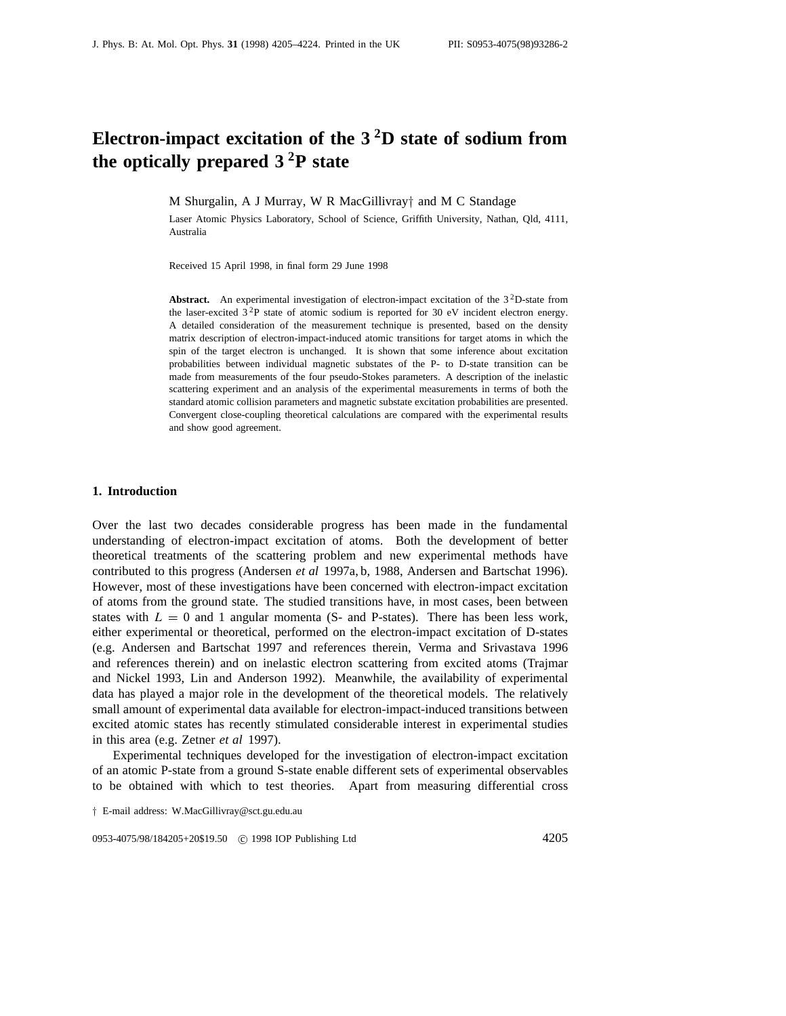# **Electron-impact excitation of the 3 2D state of sodium from the optically prepared 3 2P state**

M Shurgalin, A J Murray, W R MacGillivray*†* and M C Standage

Laser Atomic Physics Laboratory, School of Science, Griffith University, Nathan, Qld, 4111, Australia

Received 15 April 1998, in final form 29 June 1998

Abstract. An experimental investigation of electron-impact excitation of the 3<sup>2</sup>D-state from the laser-excited  $3<sup>2</sup>P$  state of atomic sodium is reported for 30 eV incident electron energy. A detailed consideration of the measurement technique is presented, based on the density matrix description of electron-impact-induced atomic transitions for target atoms in which the spin of the target electron is unchanged. It is shown that some inference about excitation probabilities between individual magnetic substates of the P- to D-state transition can be made from measurements of the four pseudo-Stokes parameters. A description of the inelastic scattering experiment and an analysis of the experimental measurements in terms of both the standard atomic collision parameters and magnetic substate excitation probabilities are presented. Convergent close-coupling theoretical calculations are compared with the experimental results and show good agreement.

# **1. Introduction**

Over the last two decades considerable progress has been made in the fundamental understanding of electron-impact excitation of atoms. Both the development of better theoretical treatments of the scattering problem and new experimental methods have contributed to this progress (Andersen *et al* 1997a, b, 1988, Andersen and Bartschat 1996). However, most of these investigations have been concerned with electron-impact excitation of atoms from the ground state. The studied transitions have, in most cases, been between states with  $L = 0$  and 1 angular momenta (S- and P-states). There has been less work, either experimental or theoretical, performed on the electron-impact excitation of D-states (e.g. Andersen and Bartschat 1997 and references therein, Verma and Srivastava 1996 and references therein) and on inelastic electron scattering from excited atoms (Trajmar and Nickel 1993, Lin and Anderson 1992). Meanwhile, the availability of experimental data has played a major role in the development of the theoretical models. The relatively small amount of experimental data available for electron-impact-induced transitions between excited atomic states has recently stimulated considerable interest in experimental studies in this area (e.g. Zetner *et al* 1997).

Experimental techniques developed for the investigation of electron-impact excitation of an atomic P-state from a ground S-state enable different sets of experimental observables to be obtained with which to test theories. Apart from measuring differential cross

0953-4075/98/184205+20\$19.50 © 1998 IOP Publishing Ltd 4205

*<sup>†</sup>* E-mail address: W.MacGillivray@sct.gu.edu.au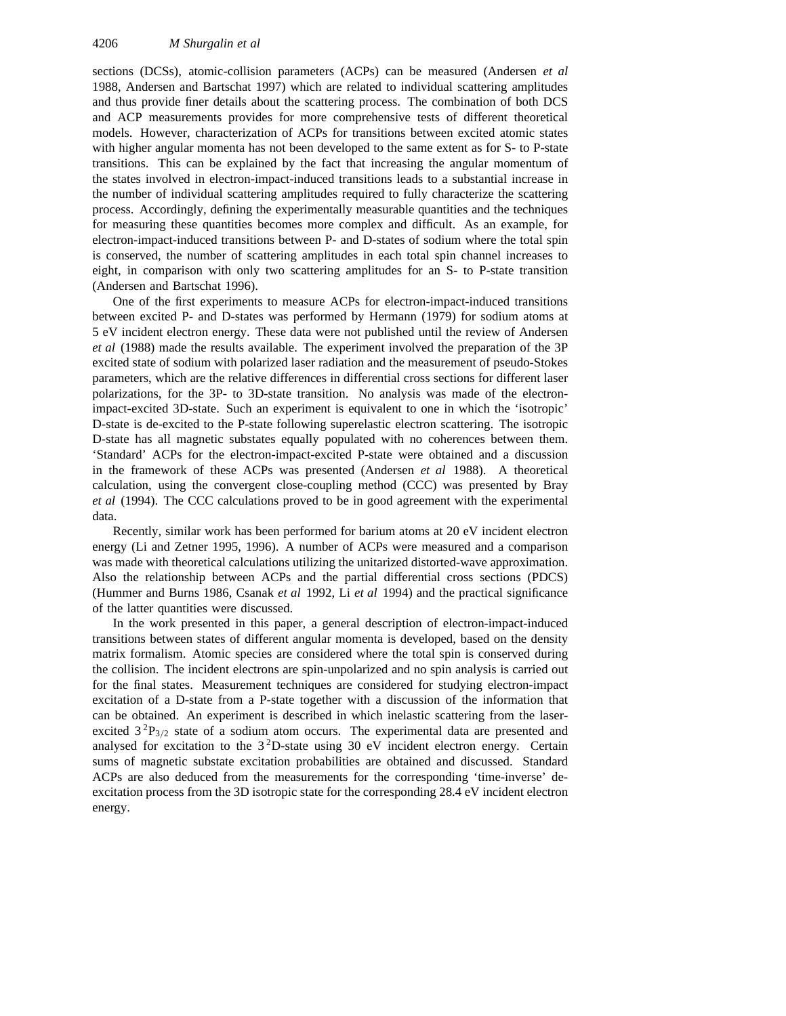sections (DCSs), atomic-collision parameters (ACPs) can be measured (Andersen *et al* 1988, Andersen and Bartschat 1997) which are related to individual scattering amplitudes and thus provide finer details about the scattering process. The combination of both DCS and ACP measurements provides for more comprehensive tests of different theoretical models. However, characterization of ACPs for transitions between excited atomic states with higher angular momenta has not been developed to the same extent as for S- to P-state transitions. This can be explained by the fact that increasing the angular momentum of the states involved in electron-impact-induced transitions leads to a substantial increase in the number of individual scattering amplitudes required to fully characterize the scattering process. Accordingly, defining the experimentally measurable quantities and the techniques for measuring these quantities becomes more complex and difficult. As an example, for electron-impact-induced transitions between P- and D-states of sodium where the total spin is conserved, the number of scattering amplitudes in each total spin channel increases to eight, in comparison with only two scattering amplitudes for an S- to P-state transition (Andersen and Bartschat 1996).

One of the first experiments to measure ACPs for electron-impact-induced transitions between excited P- and D-states was performed by Hermann (1979) for sodium atoms at 5 eV incident electron energy. These data were not published until the review of Andersen *et al* (1988) made the results available. The experiment involved the preparation of the 3P excited state of sodium with polarized laser radiation and the measurement of pseudo-Stokes parameters, which are the relative differences in differential cross sections for different laser polarizations, for the 3P- to 3D-state transition. No analysis was made of the electronimpact-excited 3D-state. Such an experiment is equivalent to one in which the 'isotropic' D-state is de-excited to the P-state following superelastic electron scattering. The isotropic D-state has all magnetic substates equally populated with no coherences between them. 'Standard' ACPs for the electron-impact-excited P-state were obtained and a discussion in the framework of these ACPs was presented (Andersen *et al* 1988). A theoretical calculation, using the convergent close-coupling method (CCC) was presented by Bray *et al* (1994). The CCC calculations proved to be in good agreement with the experimental data.

Recently, similar work has been performed for barium atoms at 20 eV incident electron energy (Li and Zetner 1995, 1996). A number of ACPs were measured and a comparison was made with theoretical calculations utilizing the unitarized distorted-wave approximation. Also the relationship between ACPs and the partial differential cross sections (PDCS) (Hummer and Burns 1986, Csanak *et al* 1992, Li *et al* 1994) and the practical significance of the latter quantities were discussed.

In the work presented in this paper, a general description of electron-impact-induced transitions between states of different angular momenta is developed, based on the density matrix formalism. Atomic species are considered where the total spin is conserved during the collision. The incident electrons are spin-unpolarized and no spin analysis is carried out for the final states. Measurement techniques are considered for studying electron-impact excitation of a D-state from a P-state together with a discussion of the information that can be obtained. An experiment is described in which inelastic scattering from the laserexcited  $3^{2}P_{3/2}$  state of a sodium atom occurs. The experimental data are presented and analysed for excitation to the  $3<sup>2</sup>D$ -state using 30 eV incident electron energy. Certain sums of magnetic substate excitation probabilities are obtained and discussed. Standard ACPs are also deduced from the measurements for the corresponding 'time-inverse' deexcitation process from the 3D isotropic state for the corresponding 28.4 eV incident electron energy.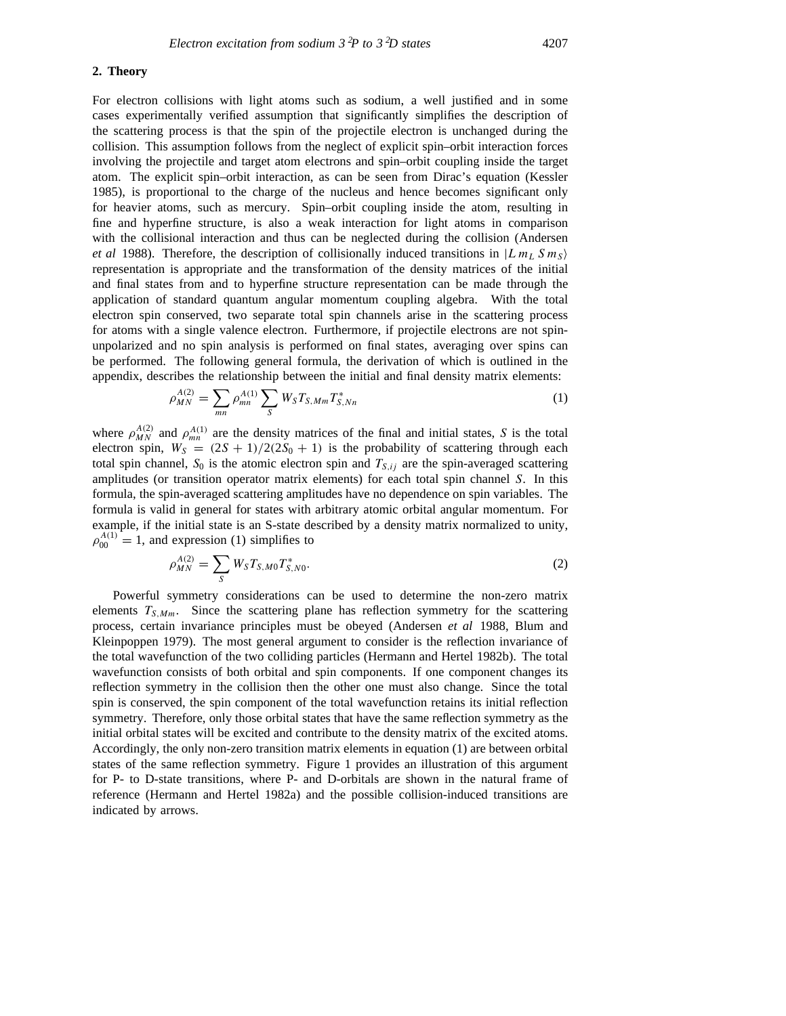# **2. Theory**

For electron collisions with light atoms such as sodium, a well justified and in some cases experimentally verified assumption that significantly simplifies the description of the scattering process is that the spin of the projectile electron is unchanged during the collision. This assumption follows from the neglect of explicit spin–orbit interaction forces involving the projectile and target atom electrons and spin–orbit coupling inside the target atom. The explicit spin–orbit interaction, as can be seen from Dirac's equation (Kessler 1985), is proportional to the charge of the nucleus and hence becomes significant only for heavier atoms, such as mercury. Spin–orbit coupling inside the atom, resulting in fine and hyperfine structure, is also a weak interaction for light atoms in comparison with the collisional interaction and thus can be neglected during the collision (Andersen *et al* 1988). Therefore, the description of collisionally induced transitions in  $|L m_L S m_S\rangle$ representation is appropriate and the transformation of the density matrices of the initial and final states from and to hyperfine structure representation can be made through the application of standard quantum angular momentum coupling algebra. With the total electron spin conserved, two separate total spin channels arise in the scattering process for atoms with a single valence electron. Furthermore, if projectile electrons are not spinunpolarized and no spin analysis is performed on final states, averaging over spins can be performed. The following general formula, the derivation of which is outlined in the appendix, describes the relationship between the initial and final density matrix elements:

$$
\rho_{MN}^{A(2)} = \sum_{mn} \rho_{mn}^{A(1)} \sum_{S} W_{S} T_{S,Mm} T_{S,Nn}^{*}
$$
 (1)

where  $\rho_{MN}^{A(2)}$  and  $\rho_{mn}^{A(1)}$  are the density matrices of the final and initial states, *S* is the total electron spin,  $W_S = (2S + 1)/2(2S_0 + 1)$  is the probability of scattering through each total spin channel,  $S_0$  is the atomic electron spin and  $T_{S,ij}$  are the spin-averaged scattering amplitudes (or transition operator matrix elements) for each total spin channel *S*. In this formula, the spin-averaged scattering amplitudes have no dependence on spin variables. The formula is valid in general for states with arbitrary atomic orbital angular momentum. For example, if the initial state is an S-state described by a density matrix normalized to unity,  $\rho_{00}^{A(1)} = 1$ , and expression (1) simplifies to

$$
\rho_{MN}^{A(2)} = \sum_{S} W_{S} T_{S,M0} T_{S,N0}^{*}.
$$
\n(2)

Powerful symmetry considerations can be used to determine the non-zero matrix elements  $T_{S,Mm}$ . Since the scattering plane has reflection symmetry for the scattering process, certain invariance principles must be obeyed (Andersen *et al* 1988, Blum and Kleinpoppen 1979). The most general argument to consider is the reflection invariance of the total wavefunction of the two colliding particles (Hermann and Hertel 1982b). The total wavefunction consists of both orbital and spin components. If one component changes its reflection symmetry in the collision then the other one must also change. Since the total spin is conserved, the spin component of the total wavefunction retains its initial reflection symmetry. Therefore, only those orbital states that have the same reflection symmetry as the initial orbital states will be excited and contribute to the density matrix of the excited atoms. Accordingly, the only non-zero transition matrix elements in equation (1) are between orbital states of the same reflection symmetry. Figure 1 provides an illustration of this argument for P- to D-state transitions, where P- and D-orbitals are shown in the natural frame of reference (Hermann and Hertel 1982a) and the possible collision-induced transitions are indicated by arrows.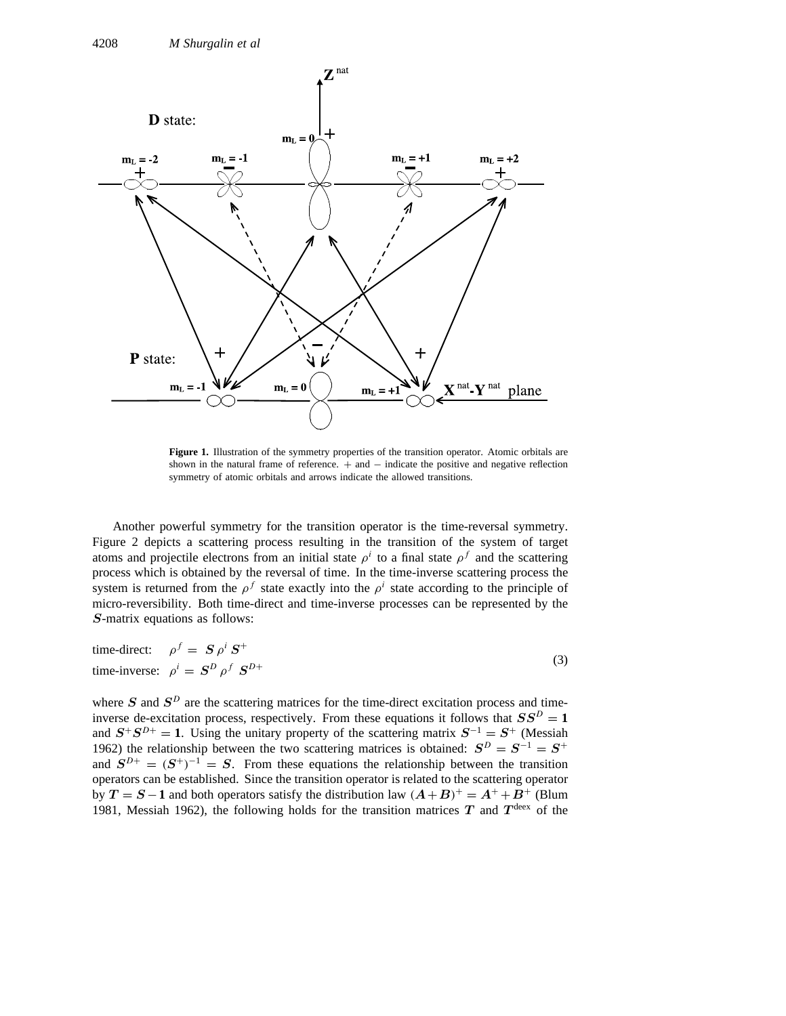

**Figure 1.** Illustration of the symmetry properties of the transition operator. Atomic orbitals are shown in the natural frame of reference.  $+$  and  $-$  indicate the positive and negative reflection symmetry of atomic orbitals and arrows indicate the allowed transitions.

Another powerful symmetry for the transition operator is the time-reversal symmetry. Figure 2 depicts a scattering process resulting in the transition of the system of target atoms and projectile electrons from an initial state  $\rho^i$  to a final state  $\rho^f$  and the scattering process which is obtained by the reversal of time. In the time-inverse scattering process the system is returned from the  $\rho^f$  state exactly into the  $\rho^i$  state according to the principle of micro-reversibility. Both time-direct and time-inverse processes can be represented by the *S*-matrix equations as follows:

time-direction: 
$$
\rho^f = S \rho^i S^+
$$
  
time-inverse:  $\rho^i = S^D \rho^f S^{D+}$  (3)

where *S* and  $S^D$  are the scattering matrices for the time-direct excitation process and timeinverse de-excitation process, respectively. From these equations it follows that  $SS^D = 1$ and  $S^+S^{D+} = 1$ . Using the unitary property of the scattering matrix  $S^{-1} = S^+$  (Messiah 1962) the relationship between the two scattering matrices is obtained:  $S^D = S^{-1} = S^+$ and  $S^{D+} = (S^+)^{-1} = S$ . From these equations the relationship between the transition operators can be established. Since the transition operator is related to the scattering operator by  $T = S - 1$  and both operators satisfy the distribution law  $(A + B)^{+} = A^{+} + B^{+}$  (Blum 1981, Messiah 1962), the following holds for the transition matrices  $T$  and  $T^{\text{deex}}$  of the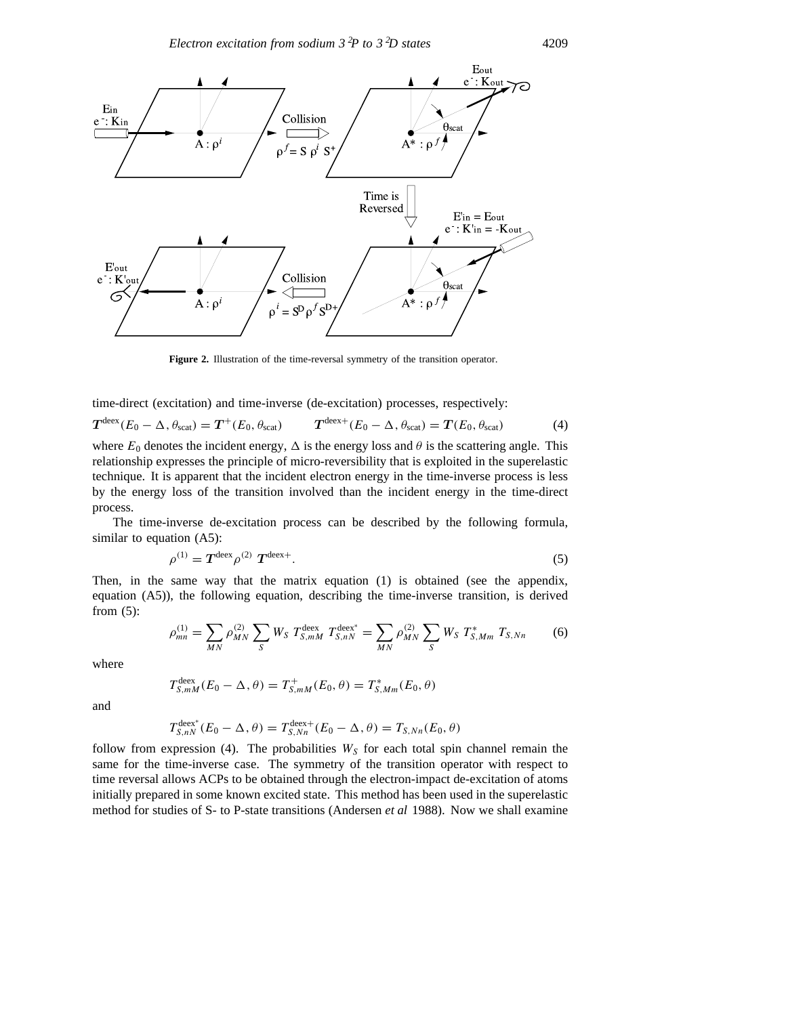

**Figure 2.** Illustration of the time-reversal symmetry of the transition operator.

time-direct (excitation) and time-inverse (de-excitation) processes, respectively:

$$
T^{\text{deex}}(E_0 - \Delta, \theta_{\text{scat}}) = T^+(E_0, \theta_{\text{scat}}) \qquad T^{\text{deex}+}(E_0 - \Delta, \theta_{\text{scat}}) = T(E_0, \theta_{\text{scat}}) \tag{4}
$$

where  $E_0$  denotes the incident energy,  $\Delta$  is the energy loss and  $\theta$  is the scattering angle. This relationship expresses the principle of micro-reversibility that is exploited in the superelastic technique. It is apparent that the incident electron energy in the time-inverse process is less by the energy loss of the transition involved than the incident energy in the time-direct process.

The time-inverse de-excitation process can be described by the following formula, similar to equation (A5):

$$
\rho^{(1)} = T^{\text{deex}} \rho^{(2)} T^{\text{deex}+}.
$$
\n(5)

Then, in the same way that the matrix equation (1) is obtained (see the appendix, equation (A5)), the following equation, describing the time-inverse transition, is derived from (5):

$$
\rho_{mn}^{(1)} = \sum_{MN} \rho_{MN}^{(2)} \sum_{S} W_S T_{S,mM}^{\text{deex}} T_{S,nN}^{\text{deex}} = \sum_{MN} \rho_{MN}^{(2)} \sum_{S} W_S T_{S,Mm}^* T_{S,Nn}
$$
(6)

where

$$
T_{S,mM}^{\text{deex}}(E_0 - \Delta, \theta) = T_{S,mM}^+(E_0, \theta) = T_{S,Mm}^*(E_0, \theta)
$$

and

$$
T_{S,nN}^{\text{deex}^*}(E_0 - \Delta, \theta) = T_{S,Nn}^{\text{deex}+}(E_0 - \Delta, \theta) = T_{S,Nn}(E_0, \theta)
$$

follow from expression (4). The probabilities  $W<sub>S</sub>$  for each total spin channel remain the same for the time-inverse case. The symmetry of the transition operator with respect to time reversal allows ACPs to be obtained through the electron-impact de-excitation of atoms initially prepared in some known excited state. This method has been used in the superelastic method for studies of S- to P-state transitions (Andersen *et al* 1988). Now we shall examine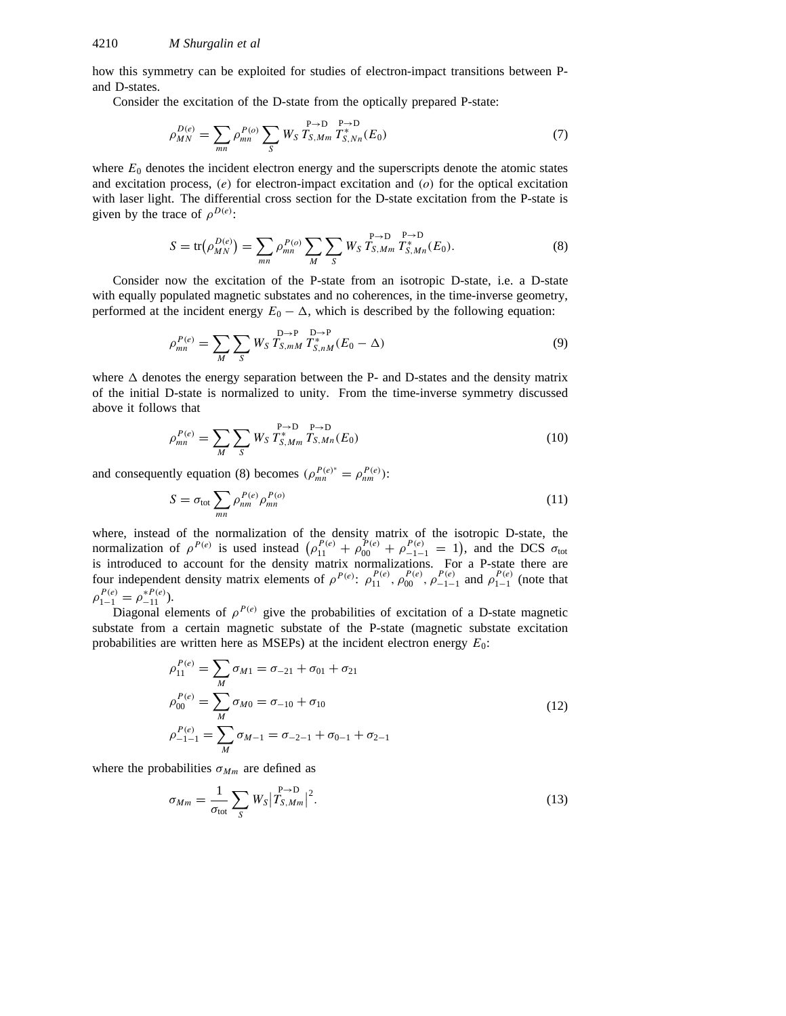how this symmetry can be exploited for studies of electron-impact transitions between Pand D-states.

Consider the excitation of the D-state from the optically prepared P-state:

$$
\rho_{MN}^{D(e)} = \sum_{mn} \rho_{mn}^{P(o)} \sum_{S} W_{S} T_{S,Mm}^{P \to D} T_{S,Nn}^{*}(E_0)
$$
\n(7)

where  $E_0$  denotes the incident electron energy and the superscripts denote the atomic states and excitation process, *(e)* for electron-impact excitation and *(o)* for the optical excitation with laser light. The differential cross section for the D-state excitation from the P-state is given by the trace of  $\rho^{D(e)}$ :

$$
S = \text{tr}(\rho_{MN}^{D(e)}) = \sum_{mn} \rho_{mn}^{P(o)} \sum_{M} \sum_{S} W_{S} T_{S,Mm}^{P \to D} T_{S,Mn}^{*}(E_{0}). \tag{8}
$$

Consider now the excitation of the P-state from an isotropic D-state, i.e. a D-state with equally populated magnetic substates and no coherences, in the time-inverse geometry, performed at the incident energy  $E_0 - \Delta$ , which is described by the following equation:

$$
\rho_{mn}^{P(e)} = \sum_{M} \sum_{S} W_{S} T_{S,mM}^{D \to P} T_{S,nM}^{*}(E_0 - \Delta)
$$
\n(9)

where  $\Delta$  denotes the energy separation between the P- and D-states and the density matrix of the initial D-state is normalized to unity. From the time-inverse symmetry discussed above it follows that

$$
\rho_{mn}^{P(e)} = \sum_{M} \sum_{S} W_{S} T_{S,Mm}^{P \to D} T_{S,Mn}^{P \to D}(E_{0})
$$
\n(10)

and consequently equation (8) becomes  $(\rho_{mn}^{P(e)^*} = \rho_{nm}^{P(e)})$ :

$$
S = \sigma_{\text{tot}} \sum_{mn} \rho_{nm}^{P(e)} \rho_{mn}^{P(o)}
$$
 (11)

where, instead of the normalization of the density matrix of the isotropic D-state, the normalization of  $\rho^{P(e)}$  is used instead  $(\rho_{11}^{P(e)} + \rho_{00}^{P(e)} + \rho_{-1-1}^{P(e)} = 1)$ , and the DCS  $\sigma_{\text{tot}}$ is introduced to account for the density matrix normalizations. For a P-state there are four independent density matrix elements of  $\rho^{P(e)}$ :  $\rho_{11}^{P(e)}$ ,  $\rho_{00}^{P(e)}$ ,  $\rho_{-1-1}^{P(e)}$  and  $\rho_{1-1}^{P(e)}$  (note that  $\rho_{1-1}^{P(e)} = \rho_{-11}^{*P(e)}$ ).

Diagonal elements of  $\rho^{P(e)}$  give the probabilities of excitation of a D-state magnetic substate from a certain magnetic substate of the P-state (magnetic substate excitation probabilities are written here as MSEPs) at the incident electron energy  $E_0$ :

$$
\rho_{11}^{P(e)} = \sum_{M} \sigma_{M1} = \sigma_{-21} + \sigma_{01} + \sigma_{21}
$$
\n
$$
\rho_{00}^{P(e)} = \sum_{M} \sigma_{M0} = \sigma_{-10} + \sigma_{10}
$$
\n
$$
\rho_{-1-1}^{P(e)} = \sum_{M} \sigma_{M-1} = \sigma_{-2-1} + \sigma_{0-1} + \sigma_{2-1}
$$
\n(12)

where the probabilities  $\sigma_{Mm}$  are defined as

$$
\sigma_{Mm} = \frac{1}{\sigma_{\text{tot}}} \sum_{S} W_S |T_{S,Mm}^{P \to D}|^2.
$$
\n(13)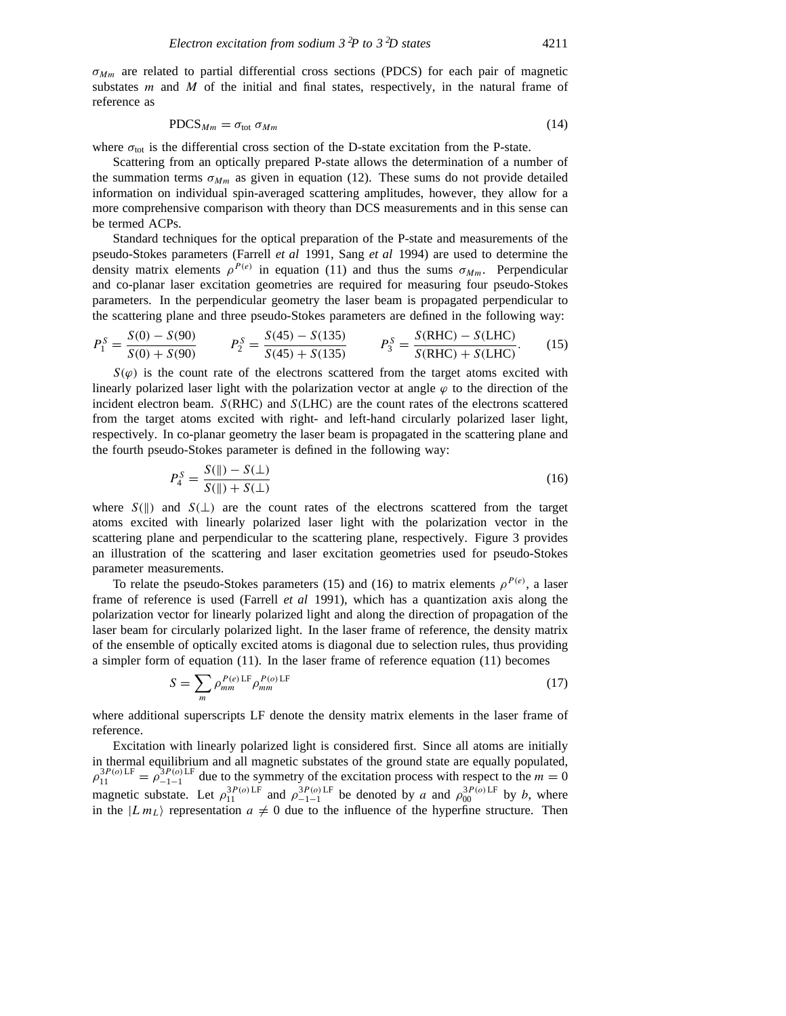*σMm* are related to partial differential cross sections (PDCS) for each pair of magnetic substates *m* and *M* of the initial and final states, respectively, in the natural frame of reference as

$$
PDCS_{Mm} = \sigma_{\text{tot}} \sigma_{Mm} \tag{14}
$$

where  $\sigma_{\text{tot}}$  is the differential cross section of the D-state excitation from the P-state.

Scattering from an optically prepared P-state allows the determination of a number of the summation terms  $\sigma_{Mm}$  as given in equation (12). These sums do not provide detailed information on individual spin-averaged scattering amplitudes, however, they allow for a more comprehensive comparison with theory than DCS measurements and in this sense can be termed ACPs.

Standard techniques for the optical preparation of the P-state and measurements of the pseudo-Stokes parameters (Farrell *et al* 1991, Sang *et al* 1994) are used to determine the density matrix elements  $\rho^{P(e)}$  in equation (11) and thus the sums  $\sigma_{Mm}$ . Perpendicular and co-planar laser excitation geometries are required for measuring four pseudo-Stokes parameters. In the perpendicular geometry the laser beam is propagated perpendicular to the scattering plane and three pseudo-Stokes parameters are defined in the following way:

$$
P_1^S = \frac{S(0) - S(90)}{S(0) + S(90)} \qquad P_2^S = \frac{S(45) - S(135)}{S(45) + S(135)} \qquad P_3^S = \frac{S(RHC) - S(LHC)}{S(RHC) + S(LHC)}.\tag{15}
$$

 $S(\varphi)$  is the count rate of the electrons scattered from the target atoms excited with linearly polarized laser light with the polarization vector at angle  $\varphi$  to the direction of the incident electron beam. *S(*RHC*)* and *S(*LHC*)* are the count rates of the electrons scattered from the target atoms excited with right- and left-hand circularly polarized laser light, respectively. In co-planar geometry the laser beam is propagated in the scattering plane and the fourth pseudo-Stokes parameter is defined in the following way:

$$
P_4^S = \frac{S(\parallel) - S(\perp)}{S(\parallel) + S(\perp)}\tag{16}
$$

where  $S(\parallel)$  and  $S(\perp)$  are the count rates of the electrons scattered from the target atoms excited with linearly polarized laser light with the polarization vector in the scattering plane and perpendicular to the scattering plane, respectively. Figure 3 provides an illustration of the scattering and laser excitation geometries used for pseudo-Stokes parameter measurements.

To relate the pseudo-Stokes parameters (15) and (16) to matrix elements  $\rho^{P(e)}$ , a laser frame of reference is used (Farrell *et al* 1991), which has a quantization axis along the polarization vector for linearly polarized light and along the direction of propagation of the laser beam for circularly polarized light. In the laser frame of reference, the density matrix of the ensemble of optically excited atoms is diagonal due to selection rules, thus providing a simpler form of equation (11). In the laser frame of reference equation (11) becomes

$$
S = \sum_{m} \rho_{mm}^{P(e)\text{LF}} \rho_{mm}^{P(o)\text{LF}} \tag{17}
$$

where additional superscripts LF denote the density matrix elements in the laser frame of reference.

Excitation with linearly polarized light is considered first. Since all atoms are initially in thermal equilibrium and all magnetic substates of the ground state are equally populated,  $\rho_{11}^{3P(o)\text{LF}} = \rho_{-1-1}^{3P(o)\text{LF}}$  due to the symmetry of the excitation process with respect to the *m* = 0 magnetic substate. Let  $\rho_{11}^{3P(o) \text{LF}}$  and  $\rho_{-1-1}^{3P(o) \text{LF}}$  be denoted by *a* and  $\rho_{00}^{3P(o) \text{LF}}$  by *b*, where in the  $|L m_L\rangle$  representation  $a \neq 0$  due to the influence of the hyperfine structure. Then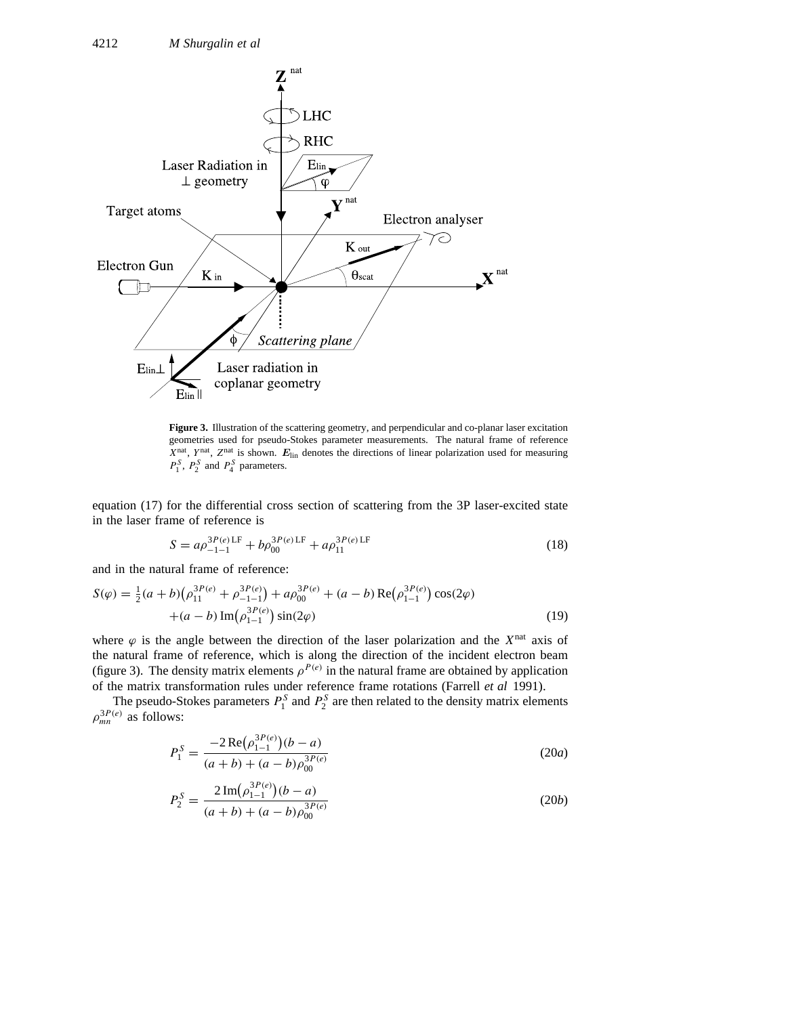

**Figure 3.** Illustration of the scattering geometry, and perpendicular and co-planar laser excitation geometries used for pseudo-Stokes parameter measurements. The natural frame of reference *X*nat, *Y* nat, *Z*nat is shown. *E*lin denotes the directions of linear polarization used for measuring  $P_1^S$ ,  $P_2^S$  and  $P_4^S$  parameters.

equation (17) for the differential cross section of scattering from the 3P laser-excited state in the laser frame of reference is

$$
S = a\rho_{-1-1}^{3P(e)LF} + b\rho_{00}^{3P(e)LF} + a\rho_{11}^{3P(e)LF}
$$
\n(18)

and in the natural frame of reference:

$$
S(\varphi) = \frac{1}{2}(a+b)\left(\rho_{11}^{3P(e)} + \rho_{-1-1}^{3P(e)}\right) + a\rho_{00}^{3P(e)} + (a-b) \operatorname{Re}\left(\rho_{1-1}^{3P(e)}\right) \cos(2\varphi) + (a-b) \operatorname{Im}\left(\rho_{1-1}^{3P(e)}\right) \sin(2\varphi)
$$
\n(19)

where  $\varphi$  is the angle between the direction of the laser polarization and the  $X<sup>nat</sup>$  axis of the natural frame of reference, which is along the direction of the incident electron beam (figure 3). The density matrix elements  $\rho^{P(e)}$  in the natural frame are obtained by application of the matrix transformation rules under reference frame rotations (Farrell *et al* 1991).

The pseudo-Stokes parameters  $P_1^S$  and  $P_2^S$  are then related to the density matrix elements  $\rho_{mn}^{3P(e)}$  as follows:

$$
P_1^S = \frac{-2\operatorname{Re}(\rho_{1-1}^{3P(e)})(b-a)}{(a+b)+(a-b)\rho_{00}^{3P(e)}}
$$
(20*a*)

$$
P_2^S = \frac{2\operatorname{Im}(\rho_{1-1}^{3P(e)})(b-a)}{(a+b)+(a-b)\rho_{00}^{3P(e)}}
$$
(20*b*)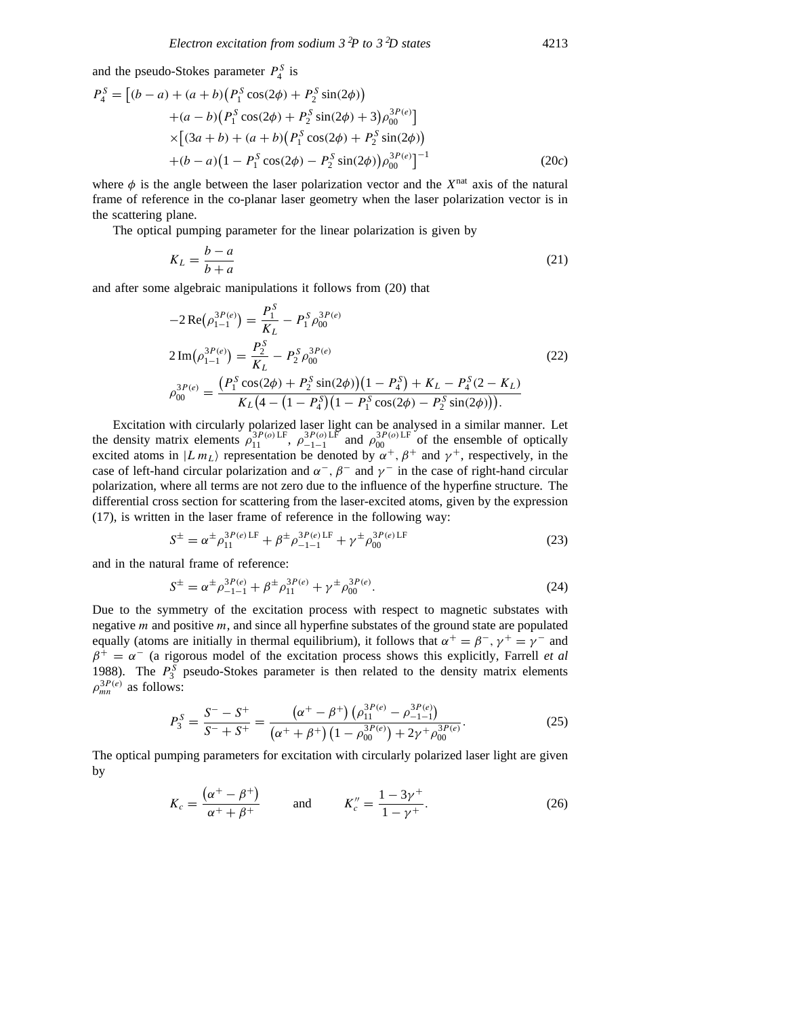and the pseudo-Stokes parameter  $P_4^S$  is

$$
P_4^S = [(b - a) + (a + b)(P_1^S \cos(2\phi) + P_2^S \sin(2\phi))
$$
  
+ (a - b)(P\_1^S \cos(2\phi) + P\_2^S \sin(2\phi) + 3)\rho\_{00}^{3P(e)}]  
\times [(3a + b) + (a + b)(P\_1^S \cos(2\phi) + P\_2^S \sin(2\phi))  
+(b - a)(1 - P\_1^S \cos(2\phi) - P\_2^S \sin(2\phi))\rho\_{00}^{3P(e)}]^{-1} (20c)

where  $\phi$  is the angle between the laser polarization vector and the  $X<sup>nat</sup>$  axis of the natural frame of reference in the co-planar laser geometry when the laser polarization vector is in the scattering plane.

The optical pumping parameter for the linear polarization is given by

$$
K_L = \frac{b-a}{b+a} \tag{21}
$$

and after some algebraic manipulations it follows from (20) that

$$
-2 \operatorname{Re}(\rho_{1-1}^{3P(e)}) = \frac{P_1^S}{K_L} - P_1^S \rho_{00}^{3P(e)}
$$
  
\n
$$
2 \operatorname{Im}(\rho_{1-1}^{3P(e)}) = \frac{P_2^S}{K_L} - P_2^S \rho_{00}^{3P(e)}
$$
  
\n
$$
\rho_{00}^{3P(e)} = \frac{(P_1^S \cos(2\phi) + P_2^S \sin(2\phi))(1 - P_4^S) + K_L - P_4^S(2 - K_L)}{K_L(4 - (1 - P_4^S)(1 - P_1^S \cos(2\phi) - P_2^S \sin(2\phi)))}
$$
\n(22)

Excitation with circularly polarized laser light can be analysed in a similar manner. Let the density matrix elements  $\rho_{11}^{3P(o)\text{LF}}$ ,  $\rho_{-1-1}^{3P(o)\text{LF}}$  and  $\rho_{00}^{3P(o)\text{LF}}$  of the ensemble of optically excited atoms in  $|L m_L\rangle$  representation be denoted by  $\alpha^+$ ,  $\beta^+$  and  $\gamma^+$ , respectively, in the case of left-hand circular polarization and  $\alpha^-$ ,  $\beta^-$  and  $\gamma^-$  in the case of right-hand circular polarization, where all terms are not zero due to the influence of the hyperfine structure. The differential cross section for scattering from the laser-excited atoms, given by the expression (17), is written in the laser frame of reference in the following way:

$$
S^{\pm} = \alpha^{\pm} \rho_{11}^{3P(e) \text{LF}} + \beta^{\pm} \rho_{-1-1}^{3P(e) \text{LF}} + \gamma^{\pm} \rho_{00}^{3P(e) \text{LF}} \tag{23}
$$

and in the natural frame of reference:

$$
S^{\pm} = \alpha^{\pm} \rho_{-1-1}^{3P(e)} + \beta^{\pm} \rho_{11}^{3P(e)} + \gamma^{\pm} \rho_{00}^{3P(e)}.
$$
 (24)

Due to the symmetry of the excitation process with respect to magnetic substates with negative *m* and positive *m*, and since all hyperfine substates of the ground state are populated equally (atoms are initially in thermal equilibrium), it follows that  $\alpha^+ = \beta^-$ ,  $\gamma^+ = \gamma^-$  and  $\beta^+ = \alpha^-$  (a rigorous model of the excitation process shows this explicitly, Farrell *et al* 1988). The  $P_3^S$  pseudo-Stokes parameter is then related to the density matrix elements  $\rho_{mn}^{3P(e)}$  as follows:

$$
P_3^S = \frac{S^- - S^+}{S^- + S^+} = \frac{\left(\alpha^+ - \beta^+\right)\left(\rho_{11}^{3P(e)} - \rho_{-1-1}^{3P(e)}\right)}{\left(\alpha^+ + \beta^+\right)\left(1 - \rho_{00}^{3P(e)}\right) + 2\gamma^+ \rho_{00}^{3P(e)}}.
$$
\n(25)

The optical pumping parameters for excitation with circularly polarized laser light are given by

$$
K_c = \frac{(\alpha^+ - \beta^+)}{\alpha^+ + \beta^+}
$$
 and  $K_c'' = \frac{1 - 3\gamma^+}{1 - \gamma^+}.$  (26)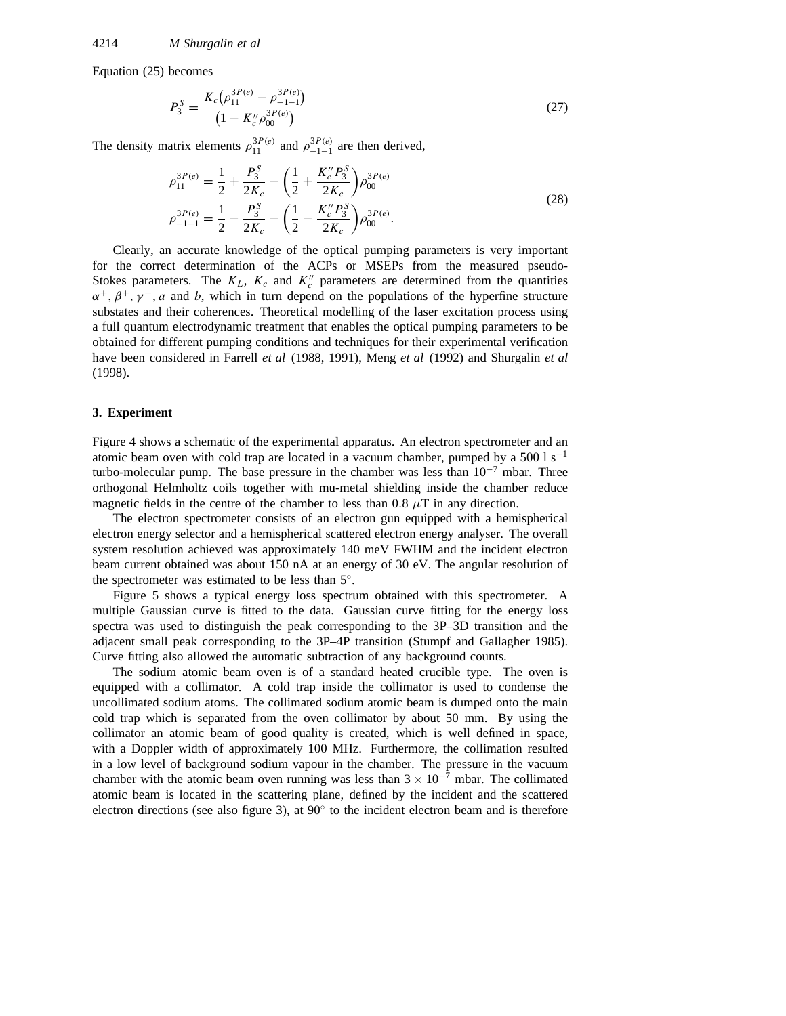Equation (25) becomes

$$
P_3^S = \frac{K_c(\rho_{11}^{3P(e)} - \rho_{-1-1}^{3P(e)})}{\left(1 - K_c'' \rho_{00}^{3P(e)}\right)}
$$
(27)

The density matrix elements  $\rho_{11}^{3P(e)}$  and  $\rho_{-1-1}^{3P(e)}$  are then derived,

$$
\rho_{11}^{3P(e)} = \frac{1}{2} + \frac{P_3^S}{2K_c} - \left(\frac{1}{2} + \frac{K_c'' P_3^S}{2K_c}\right) \rho_{00}^{3P(e)} \n\rho_{-1-1}^{3P(e)} = \frac{1}{2} - \frac{P_3^S}{2K_c} - \left(\frac{1}{2} - \frac{K_c'' P_3^S}{2K_c}\right) \rho_{00}^{3P(e)}.
$$
\n(28)

Clearly, an accurate knowledge of the optical pumping parameters is very important for the correct determination of the ACPs or MSEPs from the measured pseudo-Stokes parameters. The  $K_L$ ,  $K_c$  and  $K_c^{\prime\prime}$  parameters are determined from the quantities *α*+*, β*+*, γ* <sup>+</sup>*, a* and *b*, which in turn depend on the populations of the hyperfine structure substates and their coherences. Theoretical modelling of the laser excitation process using a full quantum electrodynamic treatment that enables the optical pumping parameters to be obtained for different pumping conditions and techniques for their experimental verification have been considered in Farrell *et al* (1988, 1991), Meng *et al* (1992) and Shurgalin *et al* (1998).

#### **3. Experiment**

Figure 4 shows a schematic of the experimental apparatus. An electron spectrometer and an atomic beam oven with cold trap are located in a vacuum chamber, pumped by a 500 l s<sup>-1</sup> turbo-molecular pump. The base pressure in the chamber was less than  $10^{-7}$  mbar. Three orthogonal Helmholtz coils together with mu-metal shielding inside the chamber reduce magnetic fields in the centre of the chamber to less than 0.8  $\mu$ T in any direction.

The electron spectrometer consists of an electron gun equipped with a hemispherical electron energy selector and a hemispherical scattered electron energy analyser. The overall system resolution achieved was approximately 140 meV FWHM and the incident electron beam current obtained was about 150 nA at an energy of 30 eV. The angular resolution of the spectrometer was estimated to be less than 5◦.

Figure 5 shows a typical energy loss spectrum obtained with this spectrometer. A multiple Gaussian curve is fitted to the data. Gaussian curve fitting for the energy loss spectra was used to distinguish the peak corresponding to the 3P-3D transition and the adjacent small peak corresponding to the 3P–4P transition (Stumpf and Gallagher 1985). Curve fitting also allowed the automatic subtraction of any background counts.

The sodium atomic beam oven is of a standard heated crucible type. The oven is equipped with a collimator. A cold trap inside the collimator is used to condense the uncollimated sodium atoms. The collimated sodium atomic beam is dumped onto the main cold trap which is separated from the oven collimator by about 50 mm. By using the collimator an atomic beam of good quality is created, which is well defined in space, with a Doppler width of approximately 100 MHz. Furthermore, the collimation resulted in a low level of background sodium vapour in the chamber. The pressure in the vacuum chamber with the atomic beam oven running was less than  $3 \times 10^{-7}$  mbar. The collimated atomic beam is located in the scattering plane, defined by the incident and the scattered electron directions (see also figure 3), at 90◦ to the incident electron beam and is therefore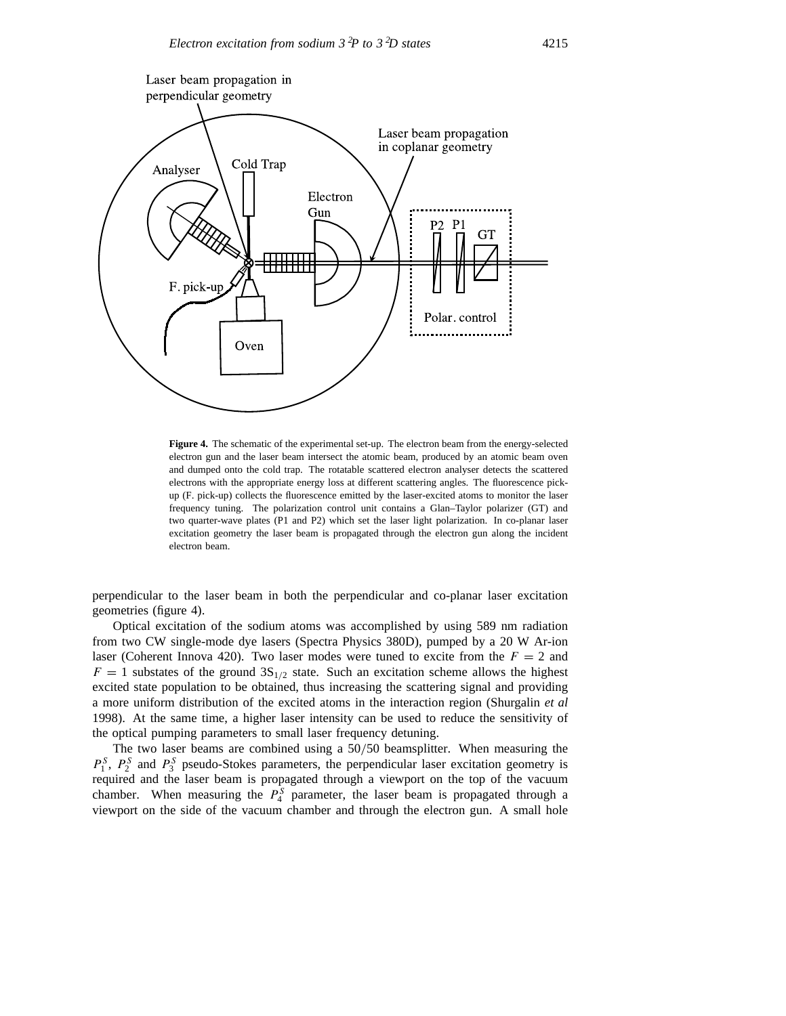

**Figure 4.** The schematic of the experimental set-up. The electron beam from the energy-selected electron gun and the laser beam intersect the atomic beam, produced by an atomic beam oven and dumped onto the cold trap. The rotatable scattered electron analyser detects the scattered electrons with the appropriate energy loss at different scattering angles. The fluorescence pickup (F. pick-up) collects the fluorescence emitted by the laser-excited atoms to monitor the laser frequency tuning. The polarization control unit contains a Glan–Taylor polarizer (GT) and two quarter-wave plates (P1 and P2) which set the laser light polarization. In co-planar laser excitation geometry the laser beam is propagated through the electron gun along the incident electron beam.

perpendicular to the laser beam in both the perpendicular and co-planar laser excitation geometries (figure 4).

Optical excitation of the sodium atoms was accomplished by using 589 nm radiation from two CW single-mode dye lasers (Spectra Physics 380D), pumped by a 20 W Ar-ion laser (Coherent Innova 420). Two laser modes were tuned to excite from the  $F = 2$  and  $F = 1$  substates of the ground  $3S<sub>1/2</sub>$  state. Such an excitation scheme allows the highest excited state population to be obtained, thus increasing the scattering signal and providing a more uniform distribution of the excited atoms in the interaction region (Shurgalin *et al* 1998). At the same time, a higher laser intensity can be used to reduce the sensitivity of the optical pumping parameters to small laser frequency detuning.

The two laser beams are combined using a 50*/*50 beamsplitter. When measuring the  $P_1^S$ ,  $P_2^S$  and  $P_3^S$  pseudo-Stokes parameters, the perpendicular laser excitation geometry is required and the laser beam is propagated through a viewport on the top of the vacuum chamber. When measuring the  $P_4^S$  parameter, the laser beam is propagated through a viewport on the side of the vacuum chamber and through the electron gun. A small hole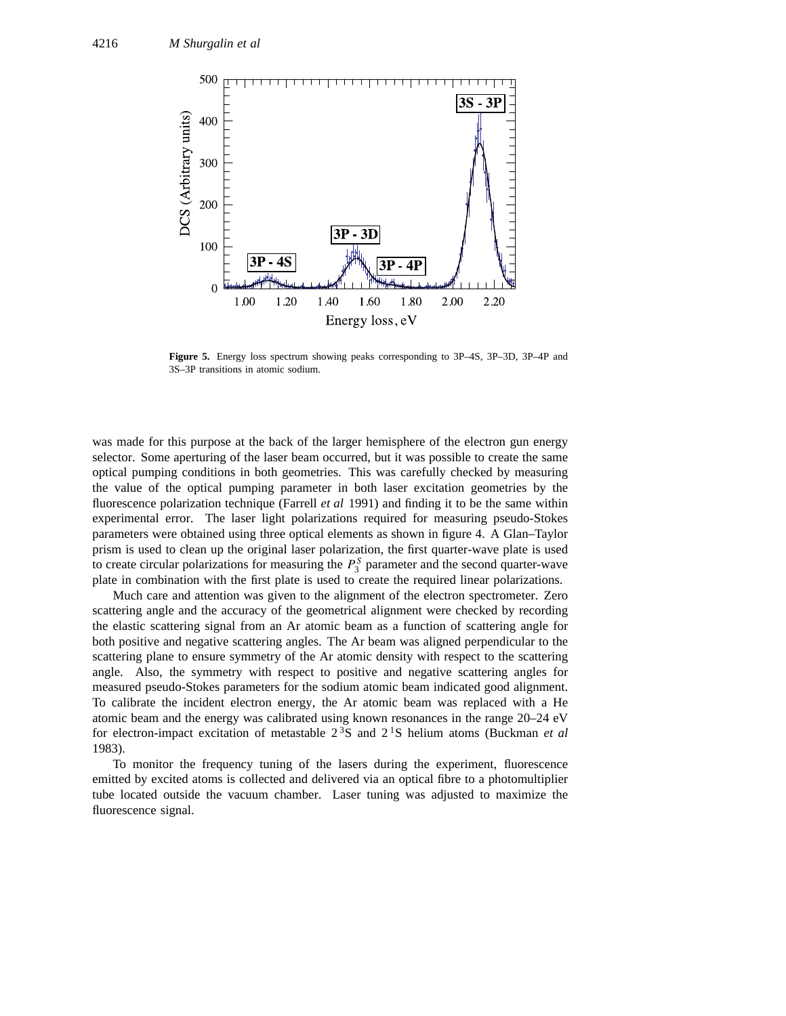

**Figure 5.** Energy loss spectrum showing peaks corresponding to 3P–4S, 3P–3D, 3P–4P and 3S–3P transitions in atomic sodium.

was made for this purpose at the back of the larger hemisphere of the electron gun energy selector. Some aperturing of the laser beam occurred, but it was possible to create the same optical pumping conditions in both geometries. This was carefully checked by measuring the value of the optical pumping parameter in both laser excitation geometries by the fluorescence polarization technique (Farrell *et al* 1991) and finding it to be the same within experimental error. The laser light polarizations required for measuring pseudo-Stokes parameters were obtained using three optical elements as shown in figure 4. A Glan–Taylor prism is used to clean up the original laser polarization, the first quarter-wave plate is used to create circular polarizations for measuring the  $P_3^S$  parameter and the second quarter-wave plate in combination with the first plate is used to create the required linear polarizations.

Much care and attention was given to the alignment of the electron spectrometer. Zero scattering angle and the accuracy of the geometrical alignment were checked by recording the elastic scattering signal from an Ar atomic beam as a function of scattering angle for both positive and negative scattering angles. The Ar beam was aligned perpendicular to the scattering plane to ensure symmetry of the Ar atomic density with respect to the scattering angle. Also, the symmetry with respect to positive and negative scattering angles for measured pseudo-Stokes parameters for the sodium atomic beam indicated good alignment. To calibrate the incident electron energy, the Ar atomic beam was replaced with a He atomic beam and the energy was calibrated using known resonances in the range 20–24 eV for electron-impact excitation of metastable 2 3S and 2 1S helium atoms (Buckman *et al* 1983).

To monitor the frequency tuning of the lasers during the experiment, fluorescence emitted by excited atoms is collected and delivered via an optical fibre to a photomultiplier tube located outside the vacuum chamber. Laser tuning was adjusted to maximize the fluorescence signal.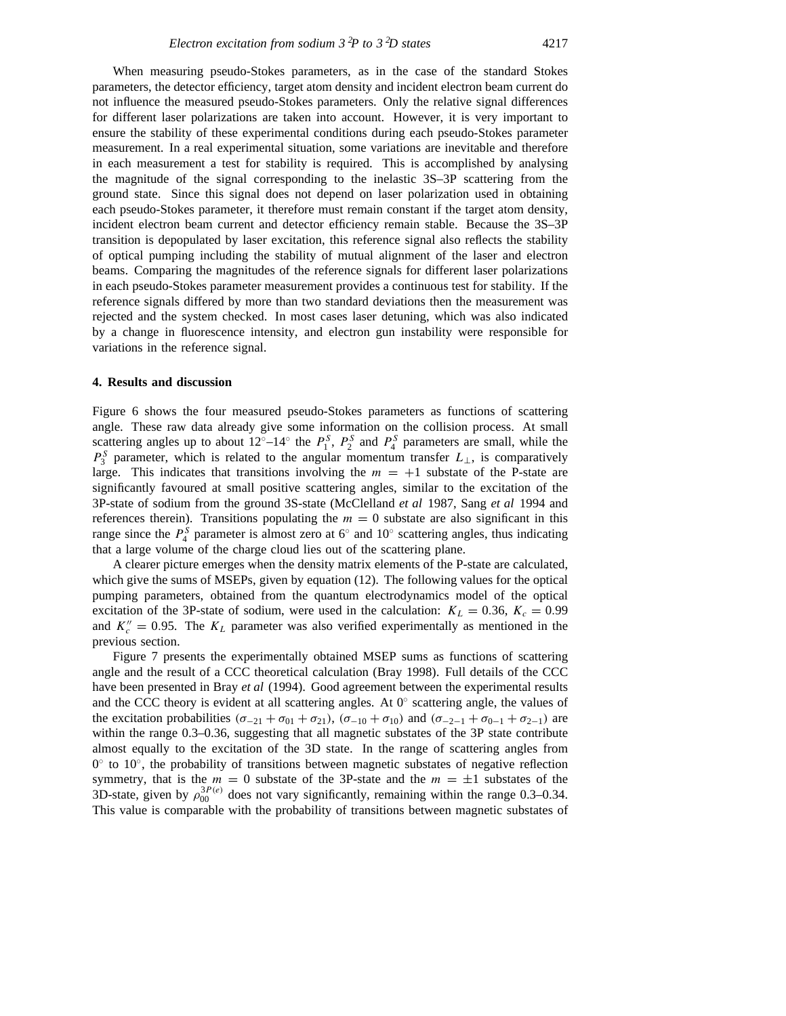When measuring pseudo-Stokes parameters, as in the case of the standard Stokes parameters, the detector efficiency, target atom density and incident electron beam current do not influence the measured pseudo-Stokes parameters. Only the relative signal differences for different laser polarizations are taken into account. However, it is very important to ensure the stability of these experimental conditions during each pseudo-Stokes parameter measurement. In a real experimental situation, some variations are inevitable and therefore in each measurement a test for stability is required. This is accomplished by analysing the magnitude of the signal corresponding to the inelastic 3S–3P scattering from the ground state. Since this signal does not depend on laser polarization used in obtaining each pseudo-Stokes parameter, it therefore must remain constant if the target atom density, incident electron beam current and detector efficiency remain stable. Because the 3S–3P transition is depopulated by laser excitation, this reference signal also reflects the stability of optical pumping including the stability of mutual alignment of the laser and electron beams. Comparing the magnitudes of the reference signals for different laser polarizations in each pseudo-Stokes parameter measurement provides a continuous test for stability. If the reference signals differed by more than two standard deviations then the measurement was rejected and the system checked. In most cases laser detuning, which was also indicated by a change in fluorescence intensity, and electron gun instability were responsible for variations in the reference signal.

### **4. Results and discussion**

Figure 6 shows the four measured pseudo-Stokes parameters as functions of scattering angle. These raw data already give some information on the collision process. At small scattering angles up to about  $12^\circ-14^\circ$  the  $P_1^S$ ,  $P_2^S$  and  $P_4^S$  parameters are small, while the *P<sup>S</sup>* <sup>3</sup> parameter, which is related to the angular momentum transfer *L*⊥, is comparatively large. This indicates that transitions involving the  $m = +1$  substate of the P-state are significantly favoured at small positive scattering angles, similar to the excitation of the 3P-state of sodium from the ground 3S-state (McClelland *et al* 1987, Sang *et al* 1994 and references therein). Transitions populating the  $m = 0$  substate are also significant in this range since the  $P_4^S$  parameter is almost zero at 6 $\degree$  and 10 $\degree$  scattering angles, thus indicating that a large volume of the charge cloud lies out of the scattering plane.

A clearer picture emerges when the density matrix elements of the P-state are calculated, which give the sums of MSEPs, given by equation (12). The following values for the optical pumping parameters, obtained from the quantum electrodynamics model of the optical excitation of the 3P-state of sodium, were used in the calculation:  $K_L = 0.36$ ,  $K_c = 0.99$ and  $K_c'' = 0.95$ . The  $K_L$  parameter was also verified experimentally as mentioned in the previous section.

Figure 7 presents the experimentally obtained MSEP sums as functions of scattering angle and the result of a CCC theoretical calculation (Bray 1998). Full details of the CCC have been presented in Bray *et al* (1994). Good agreement between the experimental results and the CCC theory is evident at all scattering angles. At  $0°$  scattering angle, the values of the excitation probabilities  $(\sigma_{-21} + \sigma_{01} + \sigma_{21})$ ,  $(\sigma_{-10} + \sigma_{10})$  and  $(\sigma_{-2-1} + \sigma_{0-1} + \sigma_{2-1})$  are within the range 0.3–0.36, suggesting that all magnetic substates of the 3P state contribute almost equally to the excitation of the 3D state. In the range of scattering angles from  $0°$  to  $10°$ , the probability of transitions between magnetic substates of negative reflection symmetry, that is the  $m = 0$  substate of the 3P-state and the  $m = \pm 1$  substates of the 3D-state, given by  $\rho_{00}^{3P(e)}$  does not vary significantly, remaining within the range 0.3–0.34. This value is comparable with the probability of transitions between magnetic substates of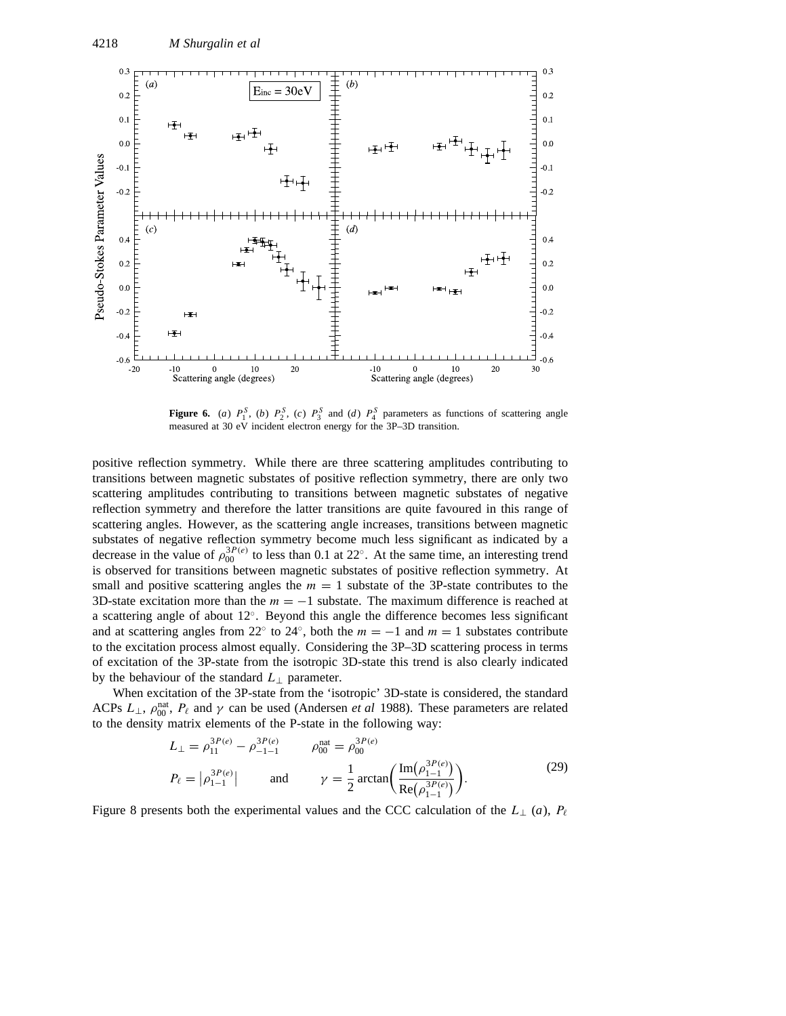

**Figure 6.** (*a*)  $P_1^S$ , (*b*)  $P_2^S$ , (*c*)  $P_3^S$  and (*d*)  $P_4^S$  parameters as functions of scattering angle measured at 30 eV incident electron energy for the 3P–3D transition.

positive reflection symmetry. While there are three scattering amplitudes contributing to transitions between magnetic substates of positive reflection symmetry, there are only two scattering amplitudes contributing to transitions between magnetic substates of negative reflection symmetry and therefore the latter transitions are quite favoured in this range of scattering angles. However, as the scattering angle increases, transitions between magnetic substates of negative reflection symmetry become much less significant as indicated by a decrease in the value of  $\rho_{00}^{3P(e)}$  to less than 0.1 at 22°. At the same time, an interesting trend is observed for transitions between magnetic substates of positive reflection symmetry. At small and positive scattering angles the  $m = 1$  substate of the 3P-state contributes to the 3D-state excitation more than the  $m = -1$  substate. The maximum difference is reached at a scattering angle of about 12◦. Beyond this angle the difference becomes less significant and at scattering angles from 22° to 24°, both the  $m = -1$  and  $m = 1$  substates contribute to the excitation process almost equally. Considering the 3P–3D scattering process in terms of excitation of the 3P-state from the isotropic 3D-state this trend is also clearly indicated by the behaviour of the standard *L*<sup>⊥</sup> parameter.

When excitation of the 3P-state from the 'isotropic' 3D-state is considered, the standard ACPs  $L_{\perp}$ ,  $\rho_{00}^{\text{nat}}$ ,  $P_{\ell}$  and  $\gamma$  can be used (Andersen *et al* 1988). These parameters are related to the density matrix elements of the P-state in the following way:

$$
L_{\perp} = \rho_{11}^{3P(e)} - \rho_{-1-1}^{3P(e)} \qquad \rho_{00}^{\text{nat}} = \rho_{00}^{3P(e)}
$$
  
\n
$$
P_{\ell} = |\rho_{1-1}^{3P(e)}| \qquad \text{and} \qquad \gamma = \frac{1}{2} \arctan\left(\frac{\text{Im}(\rho_{1-1}^{3P(e)})}{\text{Re}(\rho_{1-1}^{3P(e)})}\right).
$$
 (29)

Figure 8 presents both the experimental values and the CCC calculation of the  $L_{\perp}$  (*a*),  $P_{\ell}$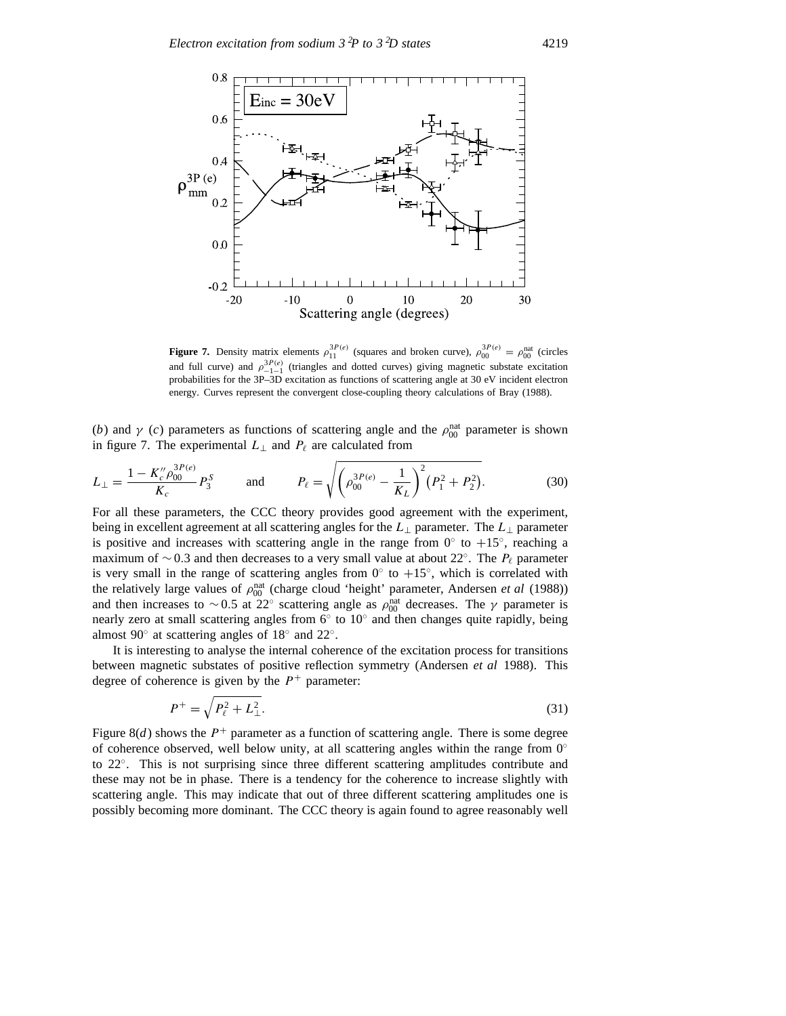

**Figure 7.** Density matrix elements  $\rho_{11}^{3P(e)}$  (squares and broken curve),  $\rho_{00}^{3P(e)} = \rho_{00}^{nat}$  (circles and full curve) and  $\rho_{-1-1}^{3P(e)}$  (triangles and dotted curves) giving magnetic substate excitation probabilities for the 3P–3D excitation as functions of scattering angle at 30 eV incident electron energy. Curves represent the convergent close-coupling theory calculations of Bray (1988).

(*b*) and *γ* (*c*) parameters as functions of scattering angle and the  $\rho_{00}^{\text{nat}}$  parameter is shown in figure 7. The experimental  $L_{\perp}$  and  $P_{\ell}$  are calculated from

$$
L_{\perp} = \frac{1 - K''_{c} \rho_{00}^{3P(e)}}{K_{c}} P_{3}^{S} \quad \text{and} \quad P_{\ell} = \sqrt{\left(\rho_{00}^{3P(e)} - \frac{1}{K_{L}}\right)^{2} \left(P_{1}^{2} + P_{2}^{2}\right)}. \quad (30)
$$

For all these parameters, the CCC theory provides good agreement with the experiment, being in excellent agreement at all scattering angles for the *L*<sup>⊥</sup> parameter. The *L*<sup>⊥</sup> parameter is positive and increases with scattering angle in the range from  $0°$  to  $+15°$ , reaching a maximum of ∼0.3 and then decreases to a very small value at about 22°. The  $P_\ell$  parameter is very small in the range of scattering angles from  $0°$  to  $+15°$ , which is correlated with the relatively large values of  $\rho_{00}^{\text{nat}}$  (charge cloud 'height' parameter, Andersen *et al* (1988)) and then increases to ~0.5 at 22° scattering angle as  $\rho_{00}^{\text{nat}}$  decreases. The *γ* parameter is nearly zero at small scattering angles from  $6°$  to  $10°$  and then changes quite rapidly, being almost 90◦ at scattering angles of 18◦ and 22◦.

It is interesting to analyse the internal coherence of the excitation process for transitions between magnetic substates of positive reflection symmetry (Andersen *et al* 1988). This degree of coherence is given by the  $P^+$  parameter:

$$
P^{+} = \sqrt{P_{\ell}^{2} + L_{\perp}^{2}}.
$$
\n(31)

Figure 8(*d*) shows the  $P^+$  parameter as a function of scattering angle. There is some degree of coherence observed, well below unity, at all scattering angles within the range from  $0°$ to 22◦. This is not surprising since three different scattering amplitudes contribute and these may not be in phase. There is a tendency for the coherence to increase slightly with scattering angle. This may indicate that out of three different scattering amplitudes one is possibly becoming more dominant. The CCC theory is again found to agree reasonably well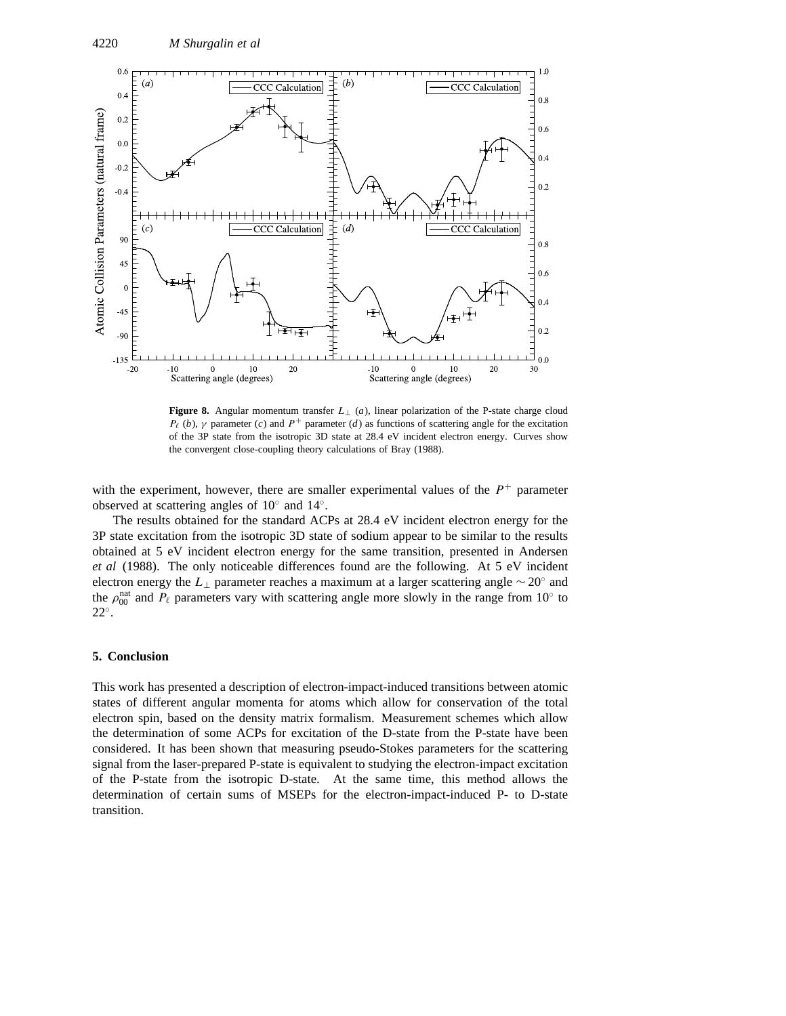

**Figure 8.** Angular momentum transfer  $L_{\perp}$  (*a*), linear polarization of the P-state charge cloud *P*<sub> $\ell$ </sub> (*b*), *γ* parameter (*c*) and *P*<sup>+</sup> parameter (*d*) as functions of scattering angle for the excitation of the 3P state from the isotropic 3D state at 28.4 eV incident electron energy. Curves show the convergent close-coupling theory calculations of Bray (1988).

with the experiment, however, there are smaller experimental values of the  $P<sup>+</sup>$  parameter observed at scattering angles of 10◦ and 14◦.

The results obtained for the standard ACPs at 28.4 eV incident electron energy for the 3P state excitation from the isotropic 3D state of sodium appear to be similar to the results obtained at 5 eV incident electron energy for the same transition, presented in Andersen *et al* (1988). The only noticeable differences found are the following. At 5 eV incident electron energy the *L*<sup>⊥</sup> parameter reaches a maximum at a larger scattering angle ∼ 20◦ and the  $\rho_{00}^{\text{nat}}$  and  $P_\ell$  parameters vary with scattering angle more slowly in the range from 10<sup>°</sup> to 22◦.

# **5. Conclusion**

This work has presented a description of electron-impact-induced transitions between atomic states of different angular momenta for atoms which allow for conservation of the total electron spin, based on the density matrix formalism. Measurement schemes which allow the determination of some ACPs for excitation of the D-state from the P-state have been considered. It has been shown that measuring pseudo-Stokes parameters for the scattering signal from the laser-prepared P-state is equivalent to studying the electron-impact excitation of the P-state from the isotropic D-state. At the same time, this method allows the determination of certain sums of MSEPs for the electron-impact-induced P- to D-state transition.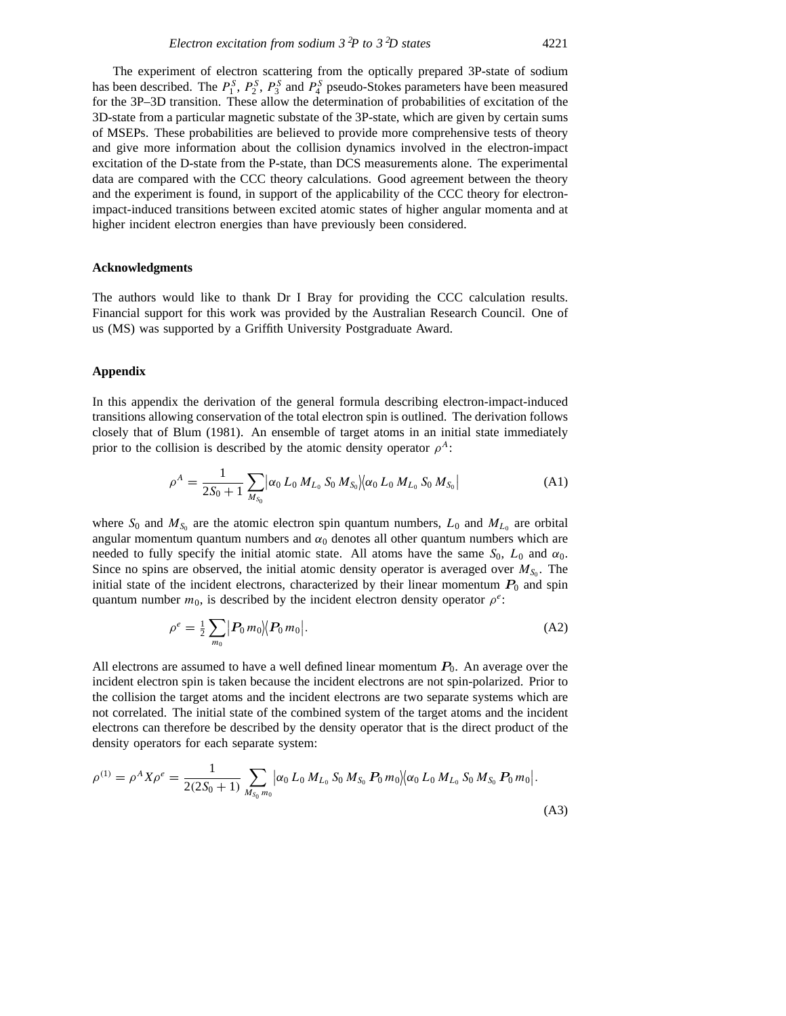The experiment of electron scattering from the optically prepared 3P-state of sodium has been described. The  $P_1^S$ ,  $P_2^S$ ,  $P_3^S$  and  $P_4^S$  pseudo-Stokes parameters have been measured for the 3P–3D transition. These allow the determination of probabilities of excitation of the 3D-state from a particular magnetic substate of the 3P-state, which are given by certain sums of MSEPs. These probabilities are believed to provide more comprehensive tests of theory and give more information about the collision dynamics involved in the electron-impact excitation of the D-state from the P-state, than DCS measurements alone. The experimental data are compared with the CCC theory calculations. Good agreement between the theory and the experiment is found, in support of the applicability of the CCC theory for electronimpact-induced transitions between excited atomic states of higher angular momenta and at higher incident electron energies than have previously been considered.

# **Acknowledgments**

The authors would like to thank Dr I Bray for providing the CCC calculation results. Financial support for this work was provided by the Australian Research Council. One of us (MS) was supported by a Griffith University Postgraduate Award.

### **Appendix**

In this appendix the derivation of the general formula describing electron-impact-induced transitions allowing conservation of the total electron spin is outlined. The derivation follows closely that of Blum (1981). An ensemble of target atoms in an initial state immediately prior to the collision is described by the atomic density operator  $\rho^A$ :

$$
\rho^{A} = \frac{1}{2S_{0} + 1} \sum_{M_{S_{0}}} \left| \alpha_{0} L_{0} M_{L_{0}} S_{0} M_{S_{0}} \right| \left| \alpha_{0} L_{0} M_{L_{0}} S_{0} M_{S_{0}} \right| \tag{A1}
$$

where  $S_0$  and  $M_{S_0}$  are the atomic electron spin quantum numbers,  $L_0$  and  $M_{L_0}$  are orbital angular momentum quantum numbers and  $\alpha_0$  denotes all other quantum numbers which are needed to fully specify the initial atomic state. All atoms have the same  $S_0$ ,  $L_0$  and  $\alpha_0$ . Since no spins are observed, the initial atomic density operator is averaged over  $M_{S_0}$ . The initial state of the incident electrons, characterized by their linear momentum  $P_0$  and spin quantum number  $m_0$ , is described by the incident electron density operator  $\rho^e$ :

$$
\rho^e = \frac{1}{2} \sum_{m_0} |P_0 m_0| \langle P_0 m_0 |.
$$
 (A2)

All electrons are assumed to have a well defined linear momentum  $P_0$ . An average over the incident electron spin is taken because the incident electrons are not spin-polarized. Prior to the collision the target atoms and the incident electrons are two separate systems which are not correlated. The initial state of the combined system of the target atoms and the incident electrons can therefore be described by the density operator that is the direct product of the density operators for each separate system:

$$
\rho^{(1)} = \rho^A X \rho^e = \frac{1}{2(2S_0 + 1)} \sum_{M_{S_0} m_0} \left| \alpha_0 L_0 M_{L_0} S_0 M_{S_0} P_0 m_0 \right| \left\langle \alpha_0 L_0 M_{L_0} S_0 M_{S_0} P_0 m_0 \right|.
$$
\n(A3)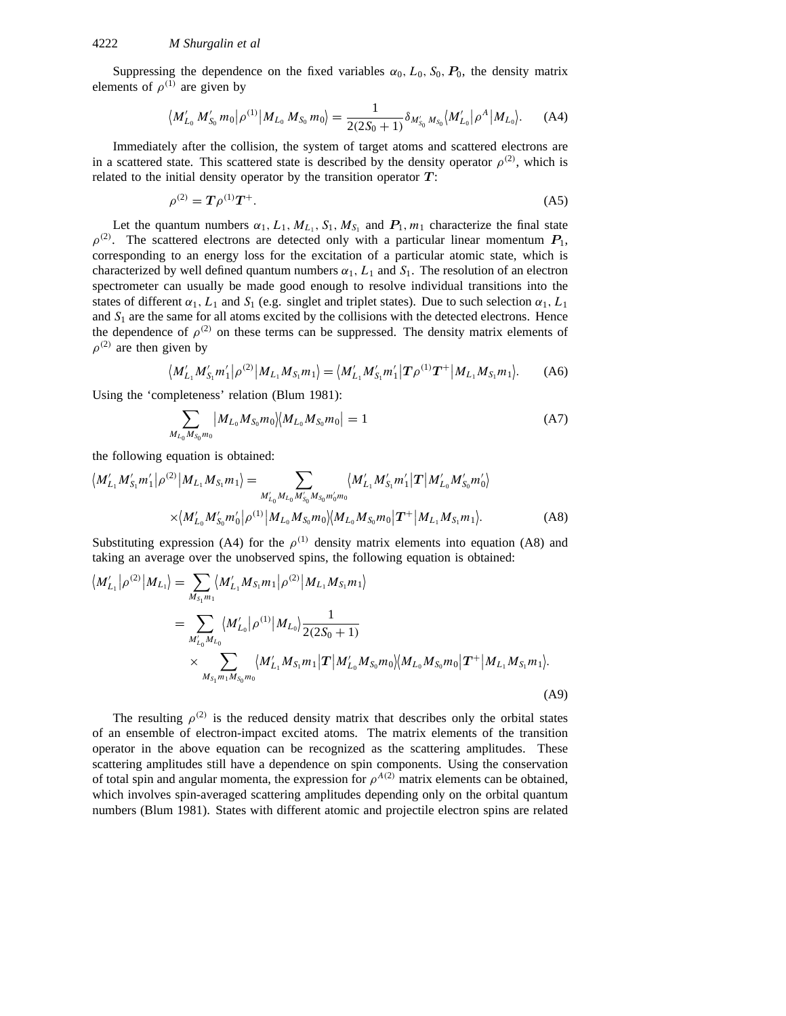Suppressing the dependence on the fixed variables  $\alpha_0$ ,  $L_0$ ,  $S_0$ ,  $P_0$ , the density matrix elements of  $\rho^{(1)}$  are given by

$$
\langle M'_{L_0} M'_{S_0} m_0 | \rho^{(1)} | M_{L_0} M_{S_0} m_0 \rangle = \frac{1}{2(2S_0 + 1)} \delta_{M'_{S_0} M_{S_0}} \langle M'_{L_0} | \rho^A | M_{L_0} \rangle.
$$
 (A4)

Immediately after the collision, the system of target atoms and scattered electrons are in a scattered state. This scattered state is described by the density operator  $\rho^{(2)}$ , which is related to the initial density operator by the transition operator *T* :

$$
\rho^{(2)} = T \rho^{(1)} T^+.
$$
\n(A5)

Let the quantum numbers  $\alpha_1, L_1, M_{L_1}, S_1, M_{S_1}$  and  $P_1, m_1$  characterize the final state  $\rho^{(2)}$ . The scattered electrons are detected only with a particular linear momentum  $P_1$ , corresponding to an energy loss for the excitation of a particular atomic state, which is characterized by well defined quantum numbers  $\alpha_1$ ,  $L_1$  and  $S_1$ . The resolution of an electron spectrometer can usually be made good enough to resolve individual transitions into the states of different  $\alpha_1$ ,  $L_1$  and  $S_1$  (e.g. singlet and triplet states). Due to such selection  $\alpha_1$ ,  $L_1$ and  $S_1$  are the same for all atoms excited by the collisions with the detected electrons. Hence the dependence of  $\rho^{(2)}$  on these terms can be suppressed. The density matrix elements of  $\rho^{(2)}$  are then given by

$$
\langle M'_{L_1} M'_{S_1} m'_1 | \rho^{(2)} | M_{L_1} M_{S_1} m_1 \rangle = \langle M'_{L_1} M'_{S_1} m'_1 | T \rho^{(1)} T^+ | M_{L_1} M_{S_1} m_1 \rangle. \tag{A6}
$$

Using the 'completeness' relation (Blum 1981):

$$
\sum_{M_{L_0}M_{S_0}m_0} \left| M_{L_0}M_{S_0}m_0 \right| \left| M_{L_0}M_{S_0}m_0 \right| = 1 \tag{A7}
$$

the following equation is obtained:

$$
\langle M'_{L_1} M'_{S_1} m'_1 | \rho^{(2)} | M_{L_1} M_{S_1} m_1 \rangle = \sum_{M'_{L_0} M_{L_0} M'_{S_0} M_{S_0} m'_0 m_0} \langle M'_{L_1} M'_{S_1} m'_1 | T | M'_{L_0} M'_{S_0} m'_0 \rangle
$$

$$
\times \langle M'_{L_0} M'_{S_0} m'_0 | \rho^{(1)} | M_{L_0} M_{S_0} m_0 \rangle \langle M_{L_0} M_{S_0} m_0 | T^+ | M_{L_1} M_{S_1} m_1 \rangle.
$$
 (A8)

Substituting expression (A4) for the  $\rho^{(1)}$  density matrix elements into equation (A8) and taking an average over the unobserved spins, the following equation is obtained:

$$
\langle M'_{L_1} | \rho^{(2)} | M_{L_1} \rangle = \sum_{M_{S_1} m_1} \langle M'_{L_1} M_{S_1} m_1 | \rho^{(2)} | M_{L_1} M_{S_1} m_1 \rangle
$$
  
\n
$$
= \sum_{M'_{L_0} M_{L_0}} \langle M'_{L_0} | \rho^{(1)} | M_{L_0} \rangle \frac{1}{2(2S_0 + 1)}
$$
  
\n
$$
\times \sum_{M_{S_1} m_1 M_{S_0} m_0} \langle M'_{L_1} M_{S_1} m_1 | \mathbf{T} | M'_{L_0} M_{S_0} m_0 \rangle \langle M_{L_0} M_{S_0} m_0 | \mathbf{T}^+ | M_{L_1} M_{S_1} m_1 \rangle.
$$
  
\n(A9)

The resulting  $\rho^{(2)}$  is the reduced density matrix that describes only the orbital states of an ensemble of electron-impact excited atoms. The matrix elements of the transition operator in the above equation can be recognized as the scattering amplitudes. These scattering amplitudes still have a dependence on spin components. Using the conservation of total spin and angular momenta, the expression for  $\rho^{A(2)}$  matrix elements can be obtained, which involves spin-averaged scattering amplitudes depending only on the orbital quantum numbers (Blum 1981). States with different atomic and projectile electron spins are related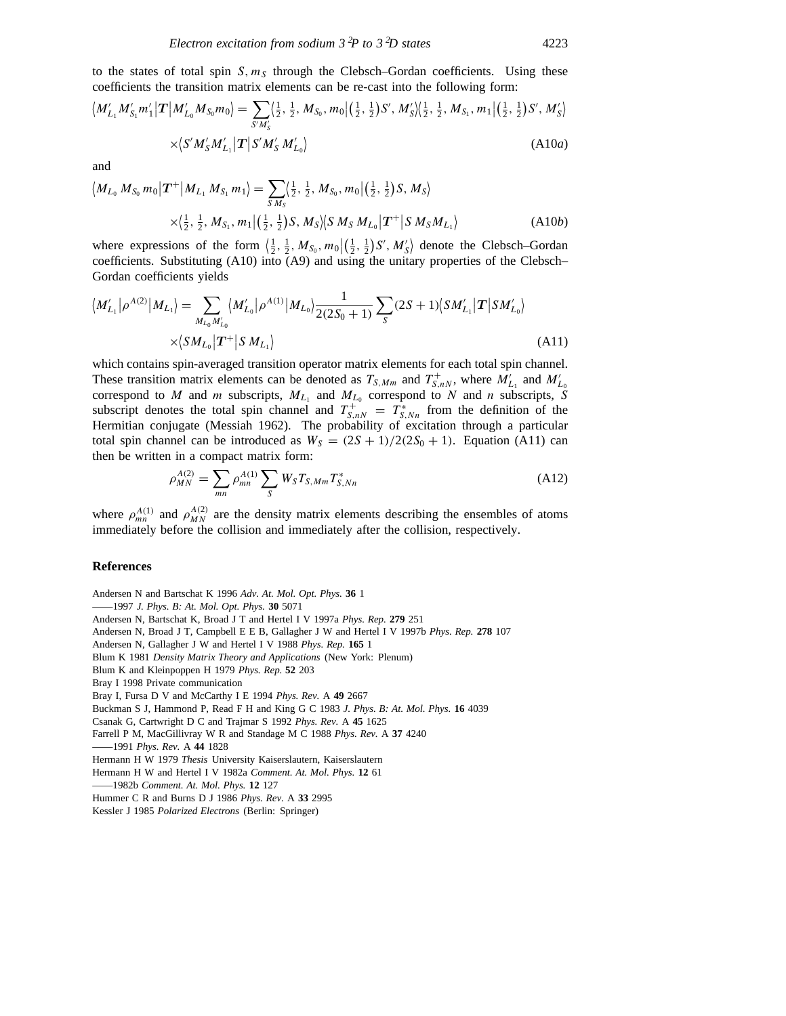to the states of total spin  $S, m_S$  through the Clebsch–Gordan coefficients. Using these coefficients the transition matrix elements can be re-cast into the following form:

$$
\langle M'_{L_1} M'_{S_1} m'_1 | \mathbf{T} | M'_{L_0} M_{S_0} m_0 \rangle = \sum_{S' M'_S} \langle \frac{1}{2}, \frac{1}{2}, M_{S_0}, m_0 | (\frac{1}{2}, \frac{1}{2}) S', M'_S \rangle \langle \frac{1}{2}, \frac{1}{2}, M_{S_1}, m_1 | (\frac{1}{2}, \frac{1}{2}) S', M'_S \rangle
$$
  
 
$$
\times \langle S' M'_S M'_{L_1} | \mathbf{T} | S' M'_S M'_{L_0} \rangle
$$
 (A10*a*)

and  $\overline{\mathcal{L}}$ 

$$
M_{L_0} M_{S_0} m_0 |T^+| M_{L_1} M_{S_1} m_1\rangle = \sum_{S M_S} \langle \frac{1}{2}, \frac{1}{2}, M_{S_0}, m_0 | (\frac{1}{2}, \frac{1}{2}) S, M_S \rangle
$$
  
 
$$
\times \langle \frac{1}{2}, \frac{1}{2}, M_{S_1}, m_1 | (\frac{1}{2}, \frac{1}{2}) S, M_S \rangle \langle S M_S M_{L_0} | T^+ | S M_S M_{L_1} \rangle
$$
 (A10b)

where expressions of the form  $\left(\frac{1}{2}, \frac{1}{2}, M_{S_0}, m_0\right| \left(\frac{1}{2}, \frac{1}{2}\right) S', M'_S$  denote the Clebsch–Gordan coefficients. Substituting (A10) into (A9) and using the unitary properties of the Clebsch– Gordan coefficients yields

$$
\langle M'_{L_1} | \rho^{A(2)} | M_{L_1} \rangle = \sum_{M_{L_0} M'_{L_0}} \langle M'_{L_0} | \rho^{A(1)} | M_{L_0} \rangle \frac{1}{2(2S_0 + 1)} \sum_S (2S + 1) \langle S M'_{L_1} | T | S M'_{L_0} \rangle
$$
  
 
$$
\times \langle S M_{L_0} | T^+ | S M_{L_1} \rangle \tag{A11}
$$

which contains spin-averaged transition operator matrix elements for each total spin channel. These transition matrix elements can be denoted as  $T_{S,Mm}$  and  $T_{S,nN}^+$ , where  $M'_{L_1}$  and  $M'_{L_0}$  correspond to  $M$  and  $m$  subscripts,  $M_{L_1}$  and  $M_{L_0}$  correspond to  $N$  and  $n$  subscripts,  $S$ subscript denotes the total spin channel and  $T_{S,nN}^+ = T_{S,Nn}^*$  from the definition of the Hermitian conjugate (Messiah 1962). The probability of excitation through a particular total spin channel can be introduced as  $W_S = (2S + 1)/2(2S_0 + 1)$ . Equation (A11) can then be written in a compact matrix form:

$$
\rho_{MN}^{A(2)} = \sum_{mn} \rho_{mn}^{A(1)} \sum_{S} W_{S} T_{S,Mm} T_{S,Nn}^{*}
$$
\n(A12)

where  $\rho_{mn}^{A(1)}$  and  $\rho_{MN}^{A(2)}$  are the density matrix elements describing the ensembles of atoms immediately before the collision and immediately after the collision, respectively.

#### **References**

Andersen N and Bartschat K 1996 *Adv. At. Mol. Opt. Phys.* **36** 1 ——1997 *J. Phys. B: At. Mol. Opt. Phys.* **30** 5071 Andersen N, Bartschat K, Broad J T and Hertel I V 1997a *Phys. Rep.* **279** 251 Andersen N, Broad J T, Campbell E E B, Gallagher J W and Hertel I V 1997b *Phys. Rep.* **278** 107 Andersen N, Gallagher J W and Hertel I V 1988 *Phys. Rep.* **165** 1 Blum K 1981 *Density Matrix Theory and Applications* (New York: Plenum) Blum K and Kleinpoppen H 1979 *Phys. Rep.* **52** 203 Bray I 1998 Private communication Bray I, Fursa D V and McCarthy I E 1994 *Phys. Rev.* A **49** 2667 Buckman S J, Hammond P, Read F H and King G C 1983 *J. Phys. B: At. Mol. Phys.* **16** 4039 Csanak G, Cartwright D C and Trajmar S 1992 *Phys. Rev.* A **45** 1625 Farrell P M, MacGillivray W R and Standage M C 1988 *Phys. Rev.* A **37** 4240 ——1991 *Phys. Rev.* A **44** 1828 Hermann H W 1979 *Thesis* University Kaiserslautern, Kaiserslautern Hermann H W and Hertel I V 1982a *Comment. At. Mol. Phys.* **12** 61 ——1982b *Comment. At. Mol. Phys.* **12** 127 Hummer C R and Burns D J 1986 *Phys. Rev.* A **33** 2995 Kessler J 1985 *Polarized Electrons* (Berlin: Springer)